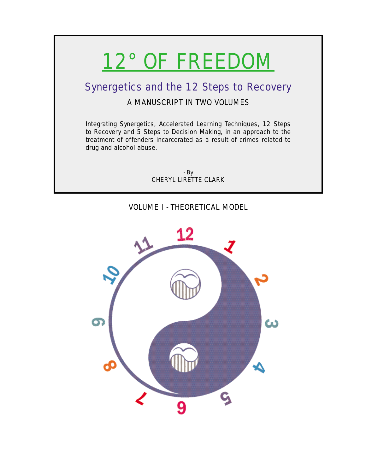# 12° OF FREEDOM

## Synergetics and the 12 Steps to Recovery

## A MANUSCRIPT IN TWO VOLUMES

Integrating Synergetics, Accelerated Learning Techniques, 12 Steps to Recovery and 5 Steps to Decision Making, in an approach to the treatment of offenders incarcerated as a result of crimes related to drug and alcohol abuse.

> - By CHERYL LIRETTE CLARK

## VOLUME I - THEORETICAL MODEL

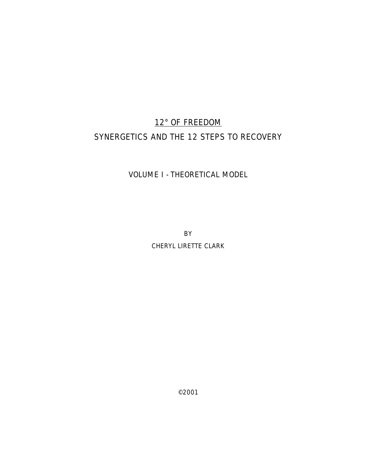# 12° OF FREEDOM SYNERGETICS AND THE 12 STEPS TO RECOVERY

### VOLUME I - THEORETICAL MODEL

**BY** 

CHERYL LIRETTE CLARK

©2001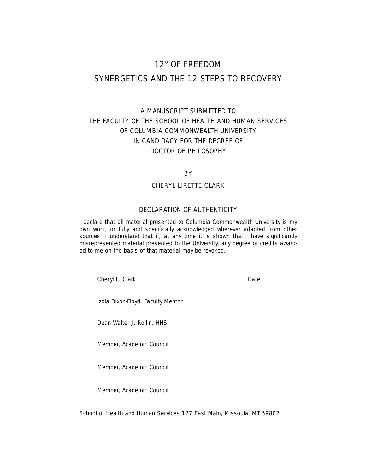## 12° OF FREEDOM

## SYNERGETICS AND THE 12 STEPS TO RECOVERY

## A MANUSCRIPT SUBMITTED TO THE FACULTY OF THE SCHOOL OF HEALTH AND HUMAN SERVICES OF COLUMBIA COMMONWEALTH UNIVERSITY IN CANDIDACY FOR THE DEGREE OF DOCTOR OF PHILOSOPHY

#### **BY**

#### CHERYL LIRETTE CLARK

#### DECLARATION OF AUTHENTICITY

I declare that all material presented to Columbia Commonwealth University is my own work, or fully and specifically acknowledged wherever adapted from other sources. I understand that if, at any time it is shown that I have significantly misrepresented material presented to the University, any degree or credits awarded to me on the basis of that material may be revoked.

| Cheryl L. Clark                   | Date |
|-----------------------------------|------|
| Izola Dixon-Floyd, Faculty Mentor |      |
| Dean Walter J. Rollin, HHS        |      |
| Member, Academic Council          |      |
| Member, Academic Council          |      |
| Member, Academic Council          |      |

School of Health and Human Services 127 East Main, Missoula, MT 59802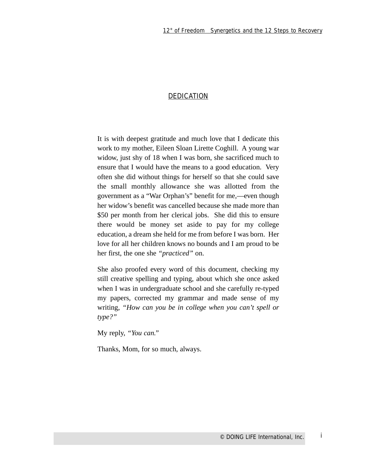#### **DEDICATION**

It is with deepest gratitude and much love that I dedicate this work to my mother, Eileen Sloan Lirette Coghill. A young war widow, just shy of 18 when I was born, she sacrificed much to ensure that I would have the means to a good education. Very often she did without things for herself so that she could save the small monthly allowance she was allotted from the government as a "War Orphan's" benefit for me,—even though her widow's benefit was cancelled because she made more than \$50 per month from her clerical jobs. She did this to ensure there would be money set aside to pay for my college education, a dream she held for me from before I was born. Her love for all her children knows no bounds and I am proud to be her first, the one she *"practiced"* on.

She also proofed every word of this document, checking my still creative spelling and typing, about which she once asked when I was in undergraduate school and she carefully re-typed my papers, corrected my grammar and made sense of my writing, *"How can you be in college when you can't spell or type?"* 

My reply, *"You can."*

Thanks, Mom, for so much, always.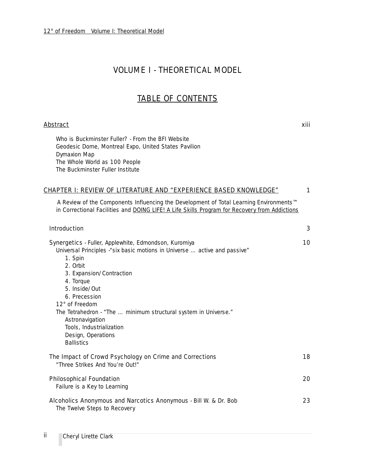## VOLUME I - THEORETICAL MODEL

## TABLE OF CONTENTS

#### <u>Abstract</u> xiii

Who is Buckminster Fuller? - From the BFI Website Geodesic Dome, Montreal Expo, United States Pavilion Dymaxion Map The Whole World as 100 People The Buckminster Fuller Institute

#### CHAPTER I: REVIEW OF LITERATURE AND *"EXPERIENCE BASED KNOWLEDGE"* 1

A Review of the Components Influencing the Development of Total Learning Environments™ in Correctional Facilities and DOING LIFE! A Life Skills Program for Recovery from Addictions

| <b>Introduction</b>                                                                                                                                                                                                                                                                                                                                                                                    | 3  |
|--------------------------------------------------------------------------------------------------------------------------------------------------------------------------------------------------------------------------------------------------------------------------------------------------------------------------------------------------------------------------------------------------------|----|
| <b>Synergetics</b> - Fuller, Applewhite, Edmondson, Kuromiya<br>Universal Principles - "six basic motions in Universe  active and passive"<br>1. Spin<br>2. Orbit<br>3. Expansion/Contraction<br>4. Torque<br>5. Inside/Out<br>6. Precession<br>12° of Freedom<br>The Tetrahedron - "The  minimum structural system in Universe."<br>Astronavigation<br>Tools, Industrialization<br>Design, Operations | 10 |
| The Impact of Crowd Psychology on Crime and Corrections<br>"Three Strikes And You're Out!"                                                                                                                                                                                                                                                                                                             | 18 |
| <b>Philosophical Foundation</b><br>Failure is a Key to Learning                                                                                                                                                                                                                                                                                                                                        | 20 |
| Alcoholics Anonymous and Narcotics Anonymous - Bill W. & Dr. Bob<br>The Twelve Steps to Recovery                                                                                                                                                                                                                                                                                                       | 23 |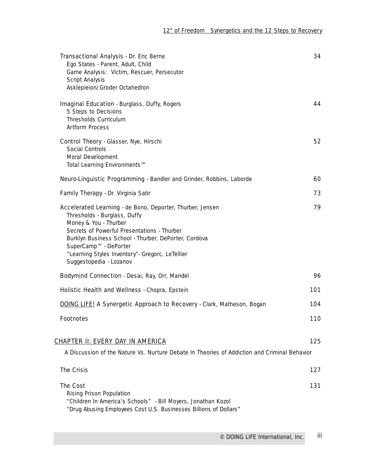| Transactional Analysis - Dr. Eric Berne<br>Ego States - Parent, Adult, Child<br>Game Analysis: Victim, Rescuer, Persecutor<br>Script Analysis<br>Asklepieion/Groder Octahedron                                                                                                                                                   | 34  |
|----------------------------------------------------------------------------------------------------------------------------------------------------------------------------------------------------------------------------------------------------------------------------------------------------------------------------------|-----|
| <b>Imaginal Education</b> - Burglass, Duffy, Rogers<br>5 Steps to Decisions<br>Thresholds Curriculum<br><b>Artform Process</b>                                                                                                                                                                                                   | 44  |
| Control Theory - Glasser, Nye, Hirschi<br>Social Controls<br>Moral Development<br>Total Learning Environments™                                                                                                                                                                                                                   | 52  |
| Neuro-Linguistic Programming - Bandler and Grinder, Robbins, Laborde                                                                                                                                                                                                                                                             | 60  |
| Family Therapy - Dr. Virginia Satir                                                                                                                                                                                                                                                                                              | 73  |
| Accelerated Learning - de Bono, Deporter, Thurber, Jensen<br>Thresholds - Burglass, Duffy<br>Money & You - Thurber<br>Secrets of Powerful Presentations - Thurber<br>Burklyn Business School - Thurber, DePorter, Cordova<br>SuperCamp™ - DePorter<br>"Learning Styles Inventory"- Gregorc, LeTellier<br>Suggestopedia - Lozanov | 79  |
| Bodymind Connection - Desai, Ray, Orr, Mandel                                                                                                                                                                                                                                                                                    | 96  |
| Holistic Health and Wellness - Chopra, Epstein                                                                                                                                                                                                                                                                                   | 101 |
| <b>DOING LIFE! A Synergetic Approach to Recovery</b> - Clark, Matheson, Bogan                                                                                                                                                                                                                                                    | 104 |
| <b>Footnotes</b>                                                                                                                                                                                                                                                                                                                 | 110 |
| <u>CHAPTER II: EVERY DAY IN AMERICA</u>                                                                                                                                                                                                                                                                                          | 125 |
| A Discussion of the Nature Vs. Nurture Debate In Theories of Addiction and Criminal Behavior                                                                                                                                                                                                                                     |     |
| <b>The Crisis</b>                                                                                                                                                                                                                                                                                                                | 127 |
| <b>The Cost</b><br>Rising Prison Population<br>"Children In America's Schools" - Bill Moyers, Jonathan Kozol<br>"Drug Abusing Employees Cost U.S. Businesses Billions of Dollars"                                                                                                                                                | 131 |
|                                                                                                                                                                                                                                                                                                                                  |     |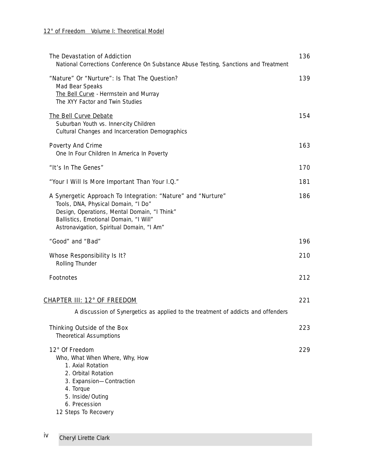| The Devastation of Addiction<br>National Corrections Conference On Substance Abuse Testing, Sanctions and Treatment                                                                                                                        | 136 |
|--------------------------------------------------------------------------------------------------------------------------------------------------------------------------------------------------------------------------------------------|-----|
| "Nature" Or "Nurture": Is That The Question?<br>Mad Bear Speaks<br>The Bell Curve - Herrnstein and Murray<br>The XYY Factor and Twin Studies                                                                                               | 139 |
| The Bell Curve Debate<br>Suburban Youth vs. Inner-city Children<br>Cultural Changes and Incarceration Demographics                                                                                                                         | 154 |
| <b>Poverty And Crime</b><br>One In Four Children In America In Poverty                                                                                                                                                                     | 163 |
| "It's In The Genes"                                                                                                                                                                                                                        | 170 |
| "Your I Will Is More Important Than Your I.Q."                                                                                                                                                                                             | 181 |
| A Synergetic Approach To Integration: "Nature" and "Nurture"<br>Tools, DNA, Physical Domain, "I Do"<br>Design, Operations, Mental Domain, "I Think"<br>Ballistics, Emotional Domain, "I Will"<br>Astronavigation, Spiritual Domain, "I Am" | 186 |
| "Good" and "Bad"                                                                                                                                                                                                                           | 196 |
| <b>Whose Responsibility Is It?</b><br>Rolling Thunder                                                                                                                                                                                      | 210 |
| <b>Footnotes</b>                                                                                                                                                                                                                           | 212 |
| <u> CHAPTER III: 12° OF FREEDOM</u>                                                                                                                                                                                                        | 221 |
| A discussion of Synergetics as applied to the treatment of addicts and offenders                                                                                                                                                           |     |
| Thinking Outside of the Box<br><b>Theoretical Assumptions</b>                                                                                                                                                                              | 223 |
| 12° Of Freedom<br>Who, What When Where, Why, How<br>1. Axial Rotation<br>2. Orbital Rotation<br>3. Expansion-Contraction<br>4. Torque<br>5. Inside/Outing<br>6. Precession<br>12 Steps To Recovery                                         | 229 |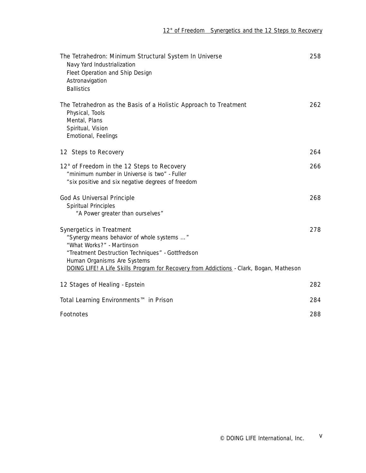| The Tetrahedron: Minimum Structural System In Universe<br>Navy Yard Industrialization<br>Fleet Operation and Ship Design<br>Astronavigation<br><b>Ballistics</b>                                                                                                                         | 258 |
|------------------------------------------------------------------------------------------------------------------------------------------------------------------------------------------------------------------------------------------------------------------------------------------|-----|
| The Tetrahedron as the Basis of a Holistic Approach to Treatment<br>Physical, Tools<br>Mental, Plans<br>Spiritual, Vision<br>Emotional, Feelings                                                                                                                                         | 262 |
| 12 Steps to Recovery                                                                                                                                                                                                                                                                     | 264 |
| 12° of Freedom in the 12 Steps to Recovery<br>"minimum number in Universe is two" - Fuller<br>"six positive and six negative degrees of freedom                                                                                                                                          | 266 |
| <b>God As Universal Principle</b>                                                                                                                                                                                                                                                        | 268 |
| Spiritual Principles<br>"A Power greater than ourselves"                                                                                                                                                                                                                                 |     |
| <b>Synergetics in Treatment</b><br>"Synergy means behavior of whole systems "<br>"What Works?" - Martinson<br>"Treatment Destruction Techniques" - Gottfredson<br>Human Organisms Are Systems<br>DOING LIFE! A Life Skills Program for Recovery from Addictions - Clark, Bogan, Matheson | 278 |
| 12 Stages of Healing - Epstein                                                                                                                                                                                                                                                           | 282 |
| Total Learning Environments™ in Prison                                                                                                                                                                                                                                                   | 284 |
| <b>Footnotes</b>                                                                                                                                                                                                                                                                         | 288 |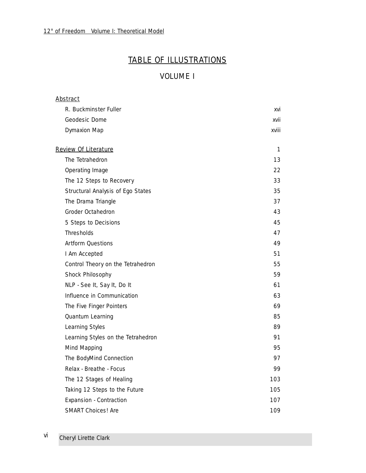## TABLE OF ILLUSTRATIONS

## VOLUME I

| <u>Abstract</u>                    |       |
|------------------------------------|-------|
| R. Buckminster Fuller              | xvi   |
| Geodesic Dome                      | xvii  |
| <b>Dymaxion Map</b>                | xviii |
| <b>Review Of Literature</b>        | 1     |
| The Tetrahedron                    | 13    |
| Operating Image                    | 22    |
| The 12 Steps to Recovery           | 33    |
| Structural Analysis of Ego States  | 35    |
| The Drama Triangle                 | 37    |
| Groder Octahedron                  | 43    |
| 5 Steps to Decisions               | 45    |
| Thresholds                         | 47    |
| <b>Artform Questions</b>           | 49    |
| I Am Accepted                      | 51    |
| Control Theory on the Tetrahedron  | 55    |
| Shock Philosophy                   | 59    |
| NLP - See It, Say It, Do It        | 61    |
| Influence in Communication         | 63    |
| The Five Finger Pointers           | 69    |
| Quantum Learning                   | 85    |
| Learning Styles                    | 89    |
| Learning Styles on the Tetrahedron | 91    |
| Mind Mapping                       | 95    |
| The BodyMind Connection            | 97    |
| Relax - Breathe - Focus            | 99    |
| The 12 Stages of Healing           | 103   |
| Taking 12 Steps to the Future      | 105   |
| Expansion - Contraction            | 107   |
| <b>SMART Choices! Are</b>          | 109   |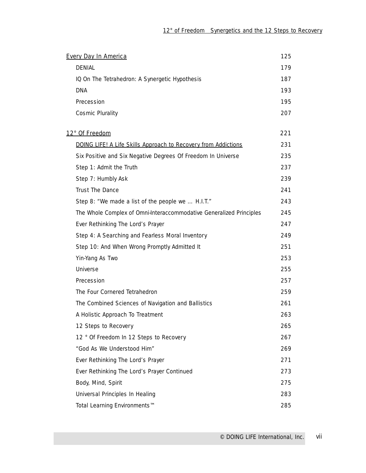| <b>Every Day In America</b>                                           | 125 |
|-----------------------------------------------------------------------|-----|
| <b>DENIAL</b>                                                         | 179 |
| IQ On The Tetrahedron: A Synergetic Hypothesis                        | 187 |
| <b>DNA</b>                                                            | 193 |
| Precession                                                            | 195 |
| <b>Cosmic Plurality</b>                                               | 207 |
| 12° Of Freedom                                                        | 221 |
| <b>DOING LIFE! A Life Skills Approach to Recovery from Addictions</b> | 231 |
| Six Positive and Six Negative Degrees Of Freedom In Universe          | 235 |
| Step 1: Admit the Truth                                               | 237 |
| Step 7: Humbly Ask                                                    | 239 |
| Trust The Dance                                                       | 241 |
| Step 8: "We made a list of the people we  H.I.T."                     | 243 |
| The Whole Complex of Omni-Interaccommodative Generalized Principles   | 245 |
| Ever Rethinking The Lord's Prayer                                     | 247 |
| Step 4: A Searching and Fearless Moral Inventory                      | 249 |
| Step 10: And When Wrong Promptly Admitted It                          | 251 |
| Yin-Yang As Two                                                       | 253 |
| Universe                                                              | 255 |
| Precession                                                            | 257 |
| The Four Cornered Tetrahedron                                         | 259 |
| The Combined Sciences of Navigation and Ballistics                    | 261 |
| A Holistic Approach To Treatment                                      | 263 |
| 12 Steps to Recovery                                                  | 265 |
| 12 ° Of Freedom In 12 Steps to Recovery                               | 267 |
| "God As We Understood Him"                                            | 269 |
| Ever Rethinking The Lord's Prayer                                     | 271 |
| Ever Rethinking The Lord's Prayer Continued                           | 273 |
| Body, Mind, Spirit                                                    | 275 |
| Universal Principles In Healing                                       | 283 |
| Total Learning Environments™                                          | 285 |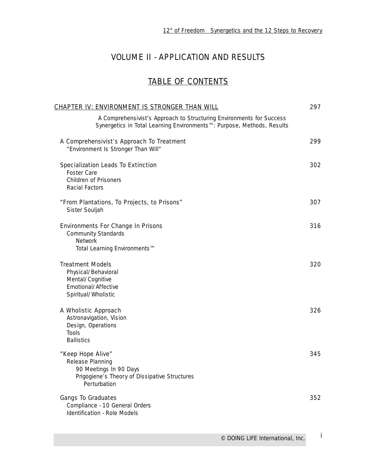## VOLUME II - APPLICATION AND RESULTS

## TABLE OF CONTENTS

| CHAPTER IV: ENVIRONMENT IS STRONGER THAN WILL                                                                                                  | 297 |
|------------------------------------------------------------------------------------------------------------------------------------------------|-----|
| A Comprehensivist's Approach to Structuring Environments for Success<br>Synergetics in Total Learning Environments™: Purpose, Methods, Results |     |
| A Comprehensivist's Approach To Treatment<br>"Environment Is Stronger Than Will"                                                               | 299 |
| <b>Specialization Leads To Extinction</b><br><b>Foster Care</b><br><b>Children of Prisoners</b><br>Racial Factors                              | 302 |
| "From Plantations, To Projects, to Prisons"<br>Sister Souljah                                                                                  | 307 |
| <b>Environments For Change In Prisons</b><br><b>Community Standards</b><br><b>Network</b><br>Total Learning Environments™                      | 316 |
| <b>Treatment Models</b><br>Physical/Behavioral<br>Mental/Cognitive<br>Emotional/Affective<br>Spiritual/Wholistic                               | 320 |
| A Wholistic Approach<br>Astronavigation, Vision<br>Design, Operations<br>Tools<br><b>Ballistics</b>                                            | 326 |
| "Keep Hope Alive"<br>Release Planning<br>90 Meetings In 90 Days<br>Prigogiene's Theory of Dissipative Structures<br>Perturbation               | 345 |
| <b>Gangs To Graduates</b><br>Compliance - 10 General Orders<br>Identification - Role Models                                                    | 352 |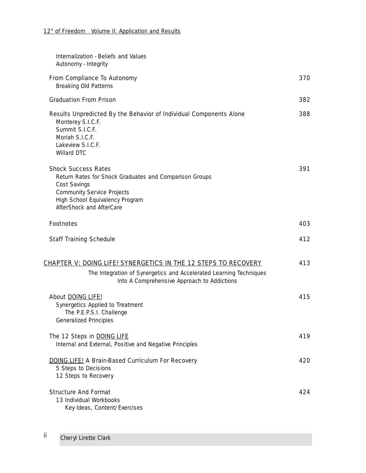| Internalization - Beliefs and Values<br>Autonomy - Integrity                                                                                                                                             |     |
|----------------------------------------------------------------------------------------------------------------------------------------------------------------------------------------------------------|-----|
| From Compliance To Autonomy<br><b>Breaking Old Patterns</b>                                                                                                                                              | 370 |
| <b>Graduation From Prison</b>                                                                                                                                                                            | 382 |
| Results Unpredicted By the Behavior of Individual Components Alone<br>Monterey S.I.C.F.<br>Summit S.I.C.F.<br>Moriah S.I.C.F.<br>Lakeview S.I.C.F.<br>Willard DTC                                        | 388 |
| <b>Shock Success Rates</b><br>Return Rates for Shock Graduates and Comparison Groups<br>Cost Savings<br><b>Community Service Projects</b><br>High School Equivalency Program<br>AfterShock and AfterCare | 391 |
| <b>Footnotes</b>                                                                                                                                                                                         | 403 |
| <b>Staff Training Schedule</b>                                                                                                                                                                           | 412 |
| <u> CHAPTER V: DOING LIFE! SYNERGETICS IN THE 12 STEPS TO RECOVERY</u><br>The Integration of Synergetics and Accelerated Learning Techniques<br>Into A Comprehensive Approach to Addictions              | 413 |
| About DOING LIFE!<br>Synergetics Applied to Treatment<br>The P.E.P.S.I. Challenge<br><b>Generalized Principles</b>                                                                                       | 415 |
| The 12 Steps in DOING LIFE<br>Internal and External, Positive and Negative Principles                                                                                                                    | 419 |
| <b>DOING LIFE! A Brain-Based Curriculum For Recovery</b><br>5 Steps to Decisions<br>12 Steps to Recovery                                                                                                 | 420 |
| <b>Structure And Format</b><br>13 Individual Workbooks<br>Key Ideas, Content/Exercises                                                                                                                   | 424 |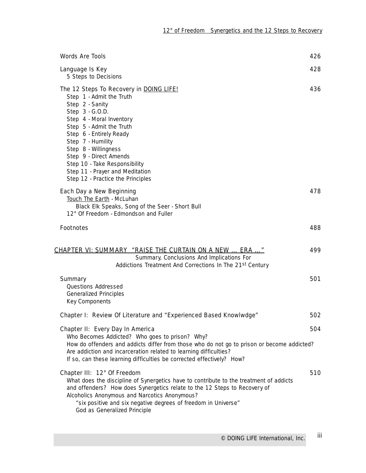| <b>Words Are Tools</b>                                                                                                                                                                                                                                                                                                                                                       | 426 |
|------------------------------------------------------------------------------------------------------------------------------------------------------------------------------------------------------------------------------------------------------------------------------------------------------------------------------------------------------------------------------|-----|
| Language Is Key<br>5 Steps to Decisions                                                                                                                                                                                                                                                                                                                                      | 428 |
| The 12 Steps To Recovery in DOING LIFE!<br>Step 1 - Admit the Truth<br>Step 2 - Sanity<br>Step 3 - G.O.D.<br>Step 4 - Moral Inventory<br>Step 5 - Admit the Truth<br>Step 6 - Entirely Ready<br>Step 7 - Humility<br>Step 8 - Willingness<br>Step 9 - Direct Amends<br>Step 10 - Take Responsibility<br>Step 11 - Prayer and Meditation<br>Step 12 - Practice the Principles | 436 |
| Each Day a New Beginning<br>Touch The Earth - McLuhan<br>Black Elk Speaks, Song of the Seer - Short Bull<br>12° Of Freedom - Edmondson and Fuller                                                                                                                                                                                                                            | 478 |
| <b>Footnotes</b>                                                                                                                                                                                                                                                                                                                                                             | 488 |
| <u>CHAPTER VI: SUMMARY  "RAISE THE CURTAIN ON A NEW  ERA "</u><br>Summary, Conclusions And Implications For<br>Addictions Treatment And Corrections In The 21st Century                                                                                                                                                                                                      | 499 |
| Summary<br>Questions Addressed<br><b>Generalized Principles</b><br>Key Components                                                                                                                                                                                                                                                                                            | 501 |
| Chapter I: Review Of Literature and "Experienced Based Knowlwdge"                                                                                                                                                                                                                                                                                                            | 502 |
| Chapter II: Every Day In America<br>Who Becomes Addicted? Who goes to prison? Why?<br>How do offenders and addicts differ from those who do not go to prison or become addicted?<br>Are addiction and incarceration related to learning difficulties?<br>If so, can these learning difficulties be corrected effectively? How?                                               | 504 |
| Chapter III: 12° Of Freedom<br>What does the discipline of Synergetics have to contribute to the treatment of addicts<br>and offenders? How does Synergetics relate to the 12 Steps to Recovery of<br>Alcoholics Anonymous and Narcotics Anonymous?<br>"six positive and six negative degrees of freedom in Universe"<br>God as Generalized Principle                        | 510 |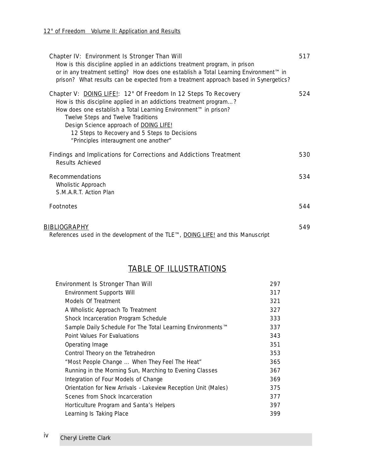| Chapter IV: Environment Is Stronger Than Will<br>How is this discipline applied in an addictions treatment program, in prison<br>or in any treatment setting? How does one establish a Total Learning Environment™ in<br>prison? What results can be expected from a treatment approach based in Synergetics?                                                                     | 517 |
|-----------------------------------------------------------------------------------------------------------------------------------------------------------------------------------------------------------------------------------------------------------------------------------------------------------------------------------------------------------------------------------|-----|
| Chapter V: DOING LIFE!: 12° Of Freedom In 12 Steps To Recovery<br>How is this discipline applied in an addictions treatment program?<br>How does one establish a Total Learning Environment™ in prison?<br>Twelve Steps and Twelve Traditions<br>Design Science approach of DOING LIFE!<br>12 Steps to Recovery and 5 Steps to Decisions<br>"Principles interaugment one another" | 524 |
| Findings and Implications for Corrections and Addictions Treatment<br>Results Achieved                                                                                                                                                                                                                                                                                            | 530 |
| <b>Recommendations</b><br>Wholistic Approach<br>S.M.A.R.T. Action Plan                                                                                                                                                                                                                                                                                                            | 534 |
| <b>Footnotes</b>                                                                                                                                                                                                                                                                                                                                                                  | 544 |
| BIBLIOGRAPHY<br>References used in the development of the TLE™, DOING LIFE! and this Manuscript                                                                                                                                                                                                                                                                                   | 549 |

## TABLE OF ILLUSTRATIONS

| <b>Environment Is Stronger Than Will</b>                       | 297 |
|----------------------------------------------------------------|-----|
| <b>Environment Supports Will</b>                               | 317 |
| Models Of Treatment                                            | 321 |
| A Wholistic Approach To Treatment                              | 327 |
| Shock Incarceration Program Schedule                           | 333 |
| Sample Daily Schedule For The Total Learning Environments™     | 337 |
| Point Values For Evaluations                                   | 343 |
| Operating Image                                                | 351 |
| Control Theory on the Tetrahedron                              | 353 |
| "Most People Change  When They Feel The Heat"                  | 365 |
| Running in the Morning Sun, Marching to Evening Classes        | 367 |
| Integration of Four Models of Change                           | 369 |
| Orientation for New Arrivals - Lakeview Reception Unit (Males) | 375 |
| Scenes from Shock Incarceration                                | 377 |
| Horticulture Program and Santa's Helpers                       | 397 |
| Learning Is Taking Place                                       | 399 |
|                                                                |     |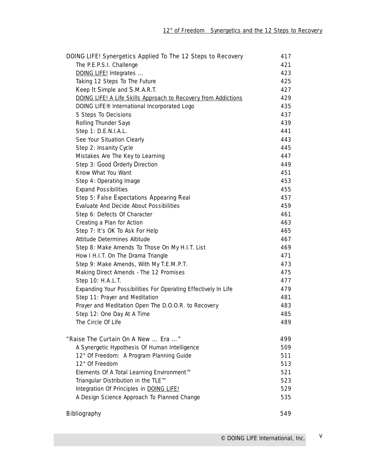| DOING LIFE! Synergetics Applied To The 12 Steps to Recovery    | 417 |
|----------------------------------------------------------------|-----|
| The P.E.P.S.I. Challenge                                       | 421 |
| DOING LIFE! Integrates                                         | 423 |
| Taking 12 Steps To The Future                                  | 425 |
| Keep It Simple and S.M.A.R.T.                                  | 427 |
| DOING LIFE! A Life Skills Approach to Recovery from Addictions | 429 |
| DOING LIFE® International Incorporated Logo                    | 435 |
| 5 Steps To Decisions                                           | 437 |
| Rolling Thunder Says                                           | 439 |
| Step 1: D.E.N.I.A.L.                                           | 441 |
| See Your Situation Clearly                                     | 443 |
| Step 2: Insanity Cycle                                         | 445 |
| Mistakes Are The Key to Learning                               | 447 |
| Step 3: Good Orderly Direction                                 | 449 |
| Know What You Want                                             | 451 |
| Step 4: Operating Image                                        | 453 |
| <b>Expand Possibilities</b>                                    | 455 |
| Step 5: False Expectations Appearing Real                      | 457 |
| Evaluate And Decide About Possibilities                        | 459 |
| Step 6: Defects Of Character                                   | 461 |
| Creating a Plan for Action                                     | 463 |
| Step 7: It's OK To Ask For Help                                | 465 |
| Attitude Determines Altitude                                   | 467 |
| Step 8: Make Amends To Those On My H.I.T. List                 | 469 |
| How I H.I.T. On The Drama Triangle                             | 471 |
| Step 9: Make Amends, With My T.E.M.P.T.                        | 473 |
| Making Direct Amends - The 12 Promises                         | 475 |
| Step 10: H.A.L.T.                                              | 477 |
| Expanding Your Possibilities For Operating Effectively In Life | 479 |
| Step 11: Prayer and Meditation                                 | 481 |
| Prayer and Meditation Open The D.O.O.R. to Recovery            | 483 |
| Step 12: One Day At A Time                                     | 485 |
| The Circle Of Life                                             | 489 |
| "Raise The Curtain On A New  Era "                             | 499 |
| A Synergetic Hypothesis Of Human Intelligence                  | 509 |
| 12° Of Freedom: A Program Planning Guide                       | 511 |
| 12° Of Freedom                                                 | 513 |
| Elements Of A Total Learning Environment™                      | 521 |
| Triangular Distribution in the TLE™                            | 523 |
| Integration Of Principles in DOING LIFE!                       | 529 |
| A Design Science Approach To Planned Change                    | 535 |
| <b>Bibliography</b>                                            | 549 |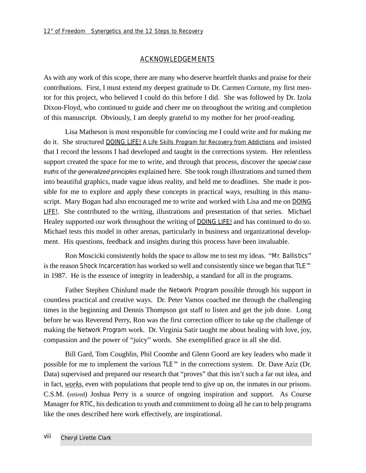#### **ACKNOWLEDGEMENTS**

As with any work of this scope, there are many who deserve heartfelt thanks and praise for their contributions. First, I must extend my deepest gratitude to Dr. Carmen Cornute, my first mentor for this project, who believed I could do this before I did. She was followed by Dr. Izola Dixon-Floyd, who continued to guide and cheer me on throughout the writing and completion of this manuscript. Obviously, I am deeply grateful to my mother for her proof-reading.

Lisa Matheson is most responsible for convincing me I could write and for making me do it. She structured DOING LIFE! A Life Skills Program for Recovery from Addictions and insisted that I record the lessons I had developed and taught in the corrections system. Her relentless support created the space for me to write, and through that process, discover the special case truths of the generalized principles explained here. She took rough illustrations and turned them into beautiful graphics, made vague ideas reality, and held me to deadlines. She made it possible for me to explore and apply these concepts in practical ways, resulting in this manuscript. Mary Bogan had also encouraged me to write and worked with Lisa and me on DOING LIFE!. She contributed to the writing, illustrations and presentation of that series. Michael Healey supported our work throughout the writing of DOING LIFE! and has continued to do so. Michael tests this model in other arenas, particularly in business and organizational development. His questions, feedback and insights during this process have been invaluable.

Ron Moscicki consistently holds the space to allow me to test my ideas. "Mr. Ballistics" is the reason Shock Incarceration has worked so well and consistently since we began that TLE™ in 1987. He is the essence of integrity in leadership, a standard for all in the programs.

Father Stephen Chinlund made the Network Program possible through his support in countless practical and creative ways. Dr. Peter Vamos coached me through the challenging times in the beginning and Dennis Thompson got staff to listen and get the job done. Long before he was Reverend Perry, Ron was the first correction officer to take up the challenge of making the Network Program work. Dr. Virginia Satir taught me about healing with love, joy, compassion and the power of "juicy" words. She exemplified grace in all she did.

Bill Gard, Tom Coughlin, Phil Coombe and Glenn Goord are key leaders who made it possible for me to implement the various TLE™ in the corrections system. Dr. Dave Aziz (Dr. Data) supervised and prepared our research that "proves" that this isn't such a far out idea, and in fact, *works*, even with populations that people tend to give up on, the inmates in our prisons. C.S.M. (retired) Joshua Perry is a source of ongoing inspiration and support. As Course Manager for RTIC, his dedication to youth and commitment to doing all he can to help programs like the ones described here work effectively, are inspirational.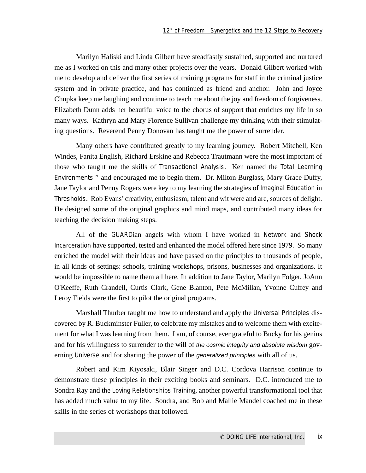Marilyn Haliski and Linda Gilbert have steadfastly sustained, supported and nurtured me as I worked on this and many other projects over the years. Donald Gilbert worked with me to develop and deliver the first series of training programs for staff in the criminal justice system and in private practice, and has continued as friend and anchor. John and Joyce Chupka keep me laughing and continue to teach me about the joy and freedom of forgiveness. Elizabeth Dunn adds her beautiful voice to the chorus of support that enriches my life in so many ways. Kathryn and Mary Florence Sullivan challenge my thinking with their stimulating questions. Reverend Penny Donovan has taught me the power of surrender.

Many others have contributed greatly to my learning journey. Robert Mitchell, Ken Windes, Fanita English, Richard Erskine and Rebecca Trautmann were the most important of those who taught me the skills of Transactional Analysis. Ken named the Total Learning Environments™ and encouraged me to begin them. Dr. Milton Burglass, Mary Grace Duffy, Jane Taylor and Penny Rogers were key to my learning the strategies of Imaginal Education in Thresholds. Rob Evans' creativity, enthusiasm, talent and wit were and are, sources of delight. He designed some of the original graphics and mind maps, and contributed many ideas for teaching the decision making steps.

All of the GUARDian angels with whom I have worked in Network and Shock Incarceration have supported, tested and enhanced the model offered here since 1979. So many enriched the model with their ideas and have passed on the principles to thousands of people, in all kinds of settings: schools, training workshops, prisons, businesses and organizations. It would be impossible to name them all here. In addition to Jane Taylor, Marilyn Folger, JoAnn O'Keeffe, Ruth Crandell, Curtis Clark, Gene Blanton, Pete McMillan, Yvonne Cuffey and Leroy Fields were the first to pilot the original programs.

Marshall Thurber taught me how to understand and apply the Universal Principles discovered by R. Buckminster Fuller, to celebrate my mistakes and to welcome them with excitement for what I was learning from them. I am, of course, ever grateful to Bucky for his genius and for his willingness to surrender to the will of the cosmic integrity and absolute wisdom governing Universe and for sharing the power of the generalized principles with all of us.

Robert and Kim Kiyosaki, Blair Singer and D.C. Cordova Harrison continue to demonstrate these principles in their exciting books and seminars. D.C. introduced me to Sondra Ray and the Loving Relationships Training, another powerful transformational tool that has added much value to my life. Sondra, and Bob and Mallie Mandel coached me in these skills in the series of workshops that followed.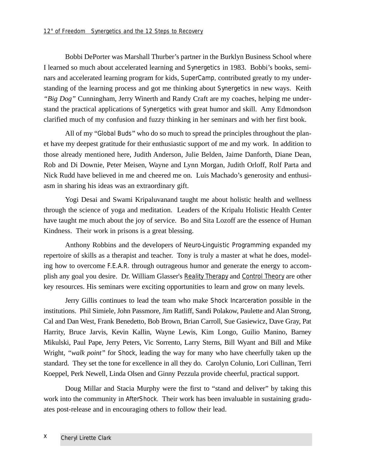Bobbi DePorter was Marshall Thurber's partner in the Burklyn Business School where I learned so much about accelerated learning and Synergetics in 1983. Bobbi's books, seminars and accelerated learning program for kids, *SuperCamp*, contributed greatly to my understanding of the learning process and got me thinking about Synergetics in new ways. Keith *"Big Dog"* Cunningham, Jerry Winerth and Randy Craft are my coaches, helping me understand the practical applications of Synergetics with great humor and skill. Amy Edmondson clarified much of my confusion and fuzzy thinking in her seminars and with her first book.

All of my "Global Buds" who do so much to spread the principles throughout the planet have my deepest gratitude for their enthusiastic support of me and my work. In addition to those already mentioned here, Judith Anderson, Julie Belden, Jaime Danforth, Diane Dean, Rob and Di Downie, Peter Meisen, Wayne and Lynn Morgan, Judith Orloff, Rolf Parta and Nick Rudd have believed in me and cheered me on. Luis Machado's generosity and enthusiasm in sharing his ideas was an extraordinary gift.

Yogi Desai and Swami Kripaluvanand taught me about holistic health and wellness through the science of yoga and meditation. Leaders of the Kripalu Holistic Health Center have taught me much about the joy of service. Bo and Sita Lozoff are the essence of Human Kindness. Their work in prisons is a great blessing.

Anthony Robbins and the developers of Neuro-Linguistic Programming expanded my repertoire of skills as a therapist and teacher. Tony is truly a master at what he does, modeling how to overcome F.E.A.R. through outrageous humor and generate the energy to accomplish any goal you desire. Dr. William Glasser's Reality Therapy and Control Theory are other key resources. His seminars were exciting opportunities to learn and grow on many levels.

Jerry Gillis continues to lead the team who make Shock Incarceration possible in the institutions. Phil Simiele, John Passmore, Jim Ratliff, Sandi Polakow, Paulette and Alan Strong, Cal and Dan West, Frank Benedetto, Bob Brown, Brian Carroll, Sue Gasiewicz, Dave Gray, Pat Harrity, Bruce Jarvis, Kevin Kallin, Wayne Lewis, Kim Longo, Guilio Manino, Barney Mikulski, Paul Pape, Jerry Peters, Vic Sorrento, Larry Sterns, Bill Wyant and Bill and Mike Wright, *"walk point"* for Shock, leading the way for many who have cheerfully taken up the standard. They set the tone for excellence in all they do. Carolyn Colunio, Lori Cullinan, Terri Koeppel, Perk Newell, Linda Olsen and Ginny Pezzula provide cheerful, practical support.

Doug Millar and Stacia Murphy were the first to "stand and deliver" by taking this work into the community in *AfterShock.* Their work has been invaluable in sustaining graduates post-release and in encouraging others to follow their lead.